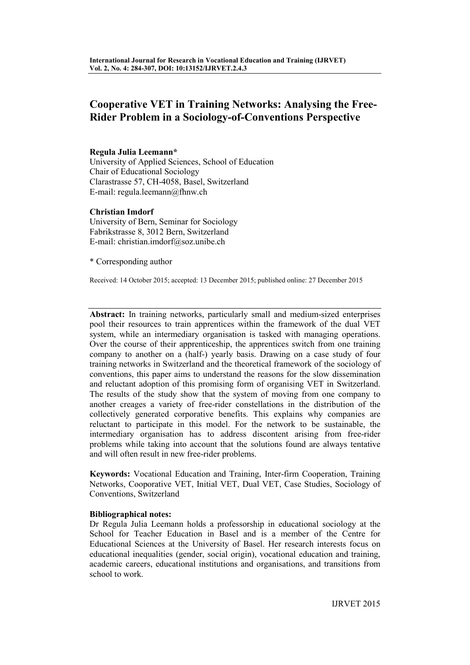# **Cooperative VET in Training Networks: Analysing the Free-Rider Problem in a Sociology-of-Conventions Perspective**

# **Regula Julia Leemann\***

University of Applied Sciences, School of Education Chair of Educational Sociology Clarastrasse 57, CH-4058, Basel, Switzerland E-mail: regula.leemann@fhnw.ch

# **Christian Imdorf**

University of Bern, Seminar for Sociology Fabrikstrasse 8, 3012 Bern, Switzerland E-mail: christian.imdorf@soz.unibe.ch

\* Corresponding author

Received: 14 October 2015; accepted: 13 December 2015; published online: 27 December 2015

**Abstract:** In training networks, particularly small and medium-sized enterprises pool their resources to train apprentices within the framework of the dual VET system, while an intermediary organisation is tasked with managing operations. Over the course of their apprenticeship, the apprentices switch from one training company to another on a (half-) yearly basis. Drawing on a case study of four training networks in Switzerland and the theoretical framework of the sociology of conventions, this paper aims to understand the reasons for the slow dissemination and reluctant adoption of this promising form of organising VET in Switzerland. The results of the study show that the system of moving from one company to another creages a variety of free-rider constellations in the distribution of the collectively generated corporative benefits. This explains why companies are reluctant to participate in this model. For the network to be sustainable, the intermediary organisation has to address discontent arising from free-rider problems while taking into account that the solutions found are always tentative and will often result in new free-rider problems.

**Keywords:** Vocational Education and Training, Inter-firm Cooperation, Training Networks, Cooporative VET, Initial VET, Dual VET, Case Studies, Sociology of Conventions, Switzerland

# **Bibliographical notes:**

Dr Regula Julia Leemann holds a professorship in educational sociology at the School for Teacher Education in Basel and is a member of the Centre for Educational Sciences at the University of Basel. Her research interests focus on educational inequalities (gender, social origin), vocational education and training, academic careers, educational institutions and organisations, and transitions from school to work.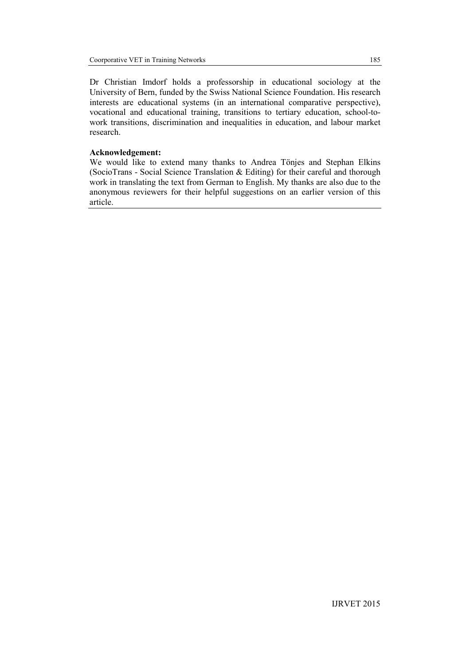Dr Christian Imdorf holds a professorship in educational sociology at the University of Bern, funded by the Swiss National Science Foundation. His research interests are educational systems (in an international comparative perspective), vocational and educational training, transitions to tertiary education, school-towork transitions, discrimination and inequalities in education, and labour market research.

# **Acknowledgement:**

We would like to extend many thanks to Andrea Tönjes and Stephan Elkins (SocioTrans - Social Science Translation & Editing) for their careful and thorough work in translating the text from German to English. My thanks are also due to the anonymous reviewers for their helpful suggestions on an earlier version of this article.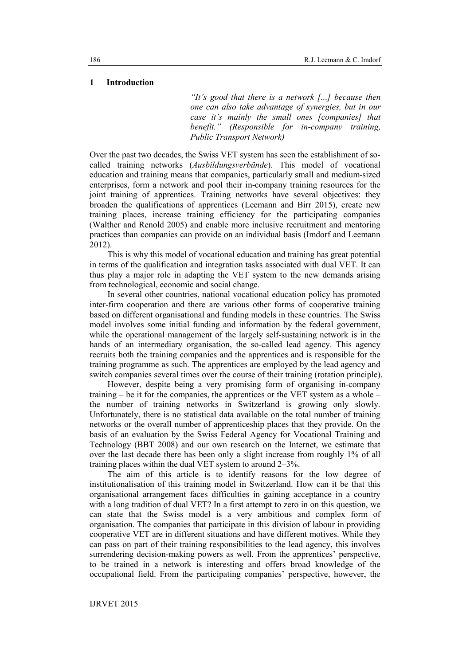# **1 Introduction**

*"It's good that there is a network [...] because then one can also take advantage of synergies, but in our case it's mainly the small ones [companies] that benefit." (Responsible for in-company training, Public Transport Network)*

Over the past two decades, the Swiss VET system has seen the establishment of socalled training networks (*Ausbildungsverbünde*). This model of vocational education and training means that companies, particularly small and medium-sized enterprises, form a network and pool their in-company training resources for the joint training of apprentices. Training networks have several objectives: they broaden the qualifications of apprentices (Leemann and Birr 2015), create new training places, increase training efficiency for the participating companies (Walther and Renold 2005) and enable more inclusive recruitment and mentoring practices than companies can provide on an individual basis (Imdorf and Leemann 2012).

This is why this model of vocational education and training has great potential in terms of the qualification and integration tasks associated with dual VET. It can thus play a major role in adapting the VET system to the new demands arising from technological, economic and social change.

In several other countries, national vocational education policy has promoted inter-firm cooperation and there are various other forms of cooperative training based on different organisational and funding models in these countries. The Swiss model involves some initial funding and information by the federal government, while the operational management of the largely self-sustaining network is in the hands of an intermediary organisation, the so-called lead agency. This agency recruits both the training companies and the apprentices and is responsible for the training programme as such. The apprentices are employed by the lead agency and switch companies several times over the course of their training (rotation principle).

However, despite being a very promising form of organising in-company training – be it for the companies, the apprentices or the VET system as a whole – the number of training networks in Switzerland is growing only slowly. Unfortunately, there is no statistical data available on the total number of training networks or the overall number of apprenticeship places that they provide. On the basis of an evaluation by the Swiss Federal Agency for Vocational Training and Technology (BBT 2008) and our own research on the Internet, we estimate that over the last decade there has been only a slight increase from roughly 1% of all training places within the dual VET system to around 2–3%.

The aim of this article is to identify reasons for the low degree of institutionalisation of this training model in Switzerland. How can it be that this organisational arrangement faces difficulties in gaining acceptance in a country with a long tradition of dual VET? In a first attempt to zero in on this question, we can state that the Swiss model is a very ambitious and complex form of organisation. The companies that participate in this division of labour in providing cooperative VET are in different situations and have different motives. While they can pass on part of their training responsibilities to the lead agency, this involves surrendering decision-making powers as well. From the apprentices' perspective, to be trained in a network is interesting and offers broad knowledge of the occupational field. From the participating companies' perspective, however, the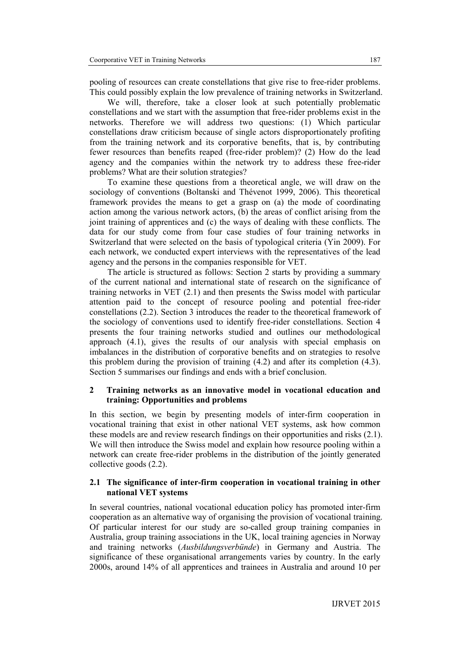pooling of resources can create constellations that give rise to free-rider problems. This could possibly explain the low prevalence of training networks in Switzerland.

We will, therefore, take a closer look at such potentially problematic constellations and we start with the assumption that free-rider problems exist in the networks. Therefore we will address two questions: (1) Which particular constellations draw criticism because of single actors disproportionately profiting from the training network and its corporative benefits, that is, by contributing fewer resources than benefits reaped (free-rider problem)? (2) How do the lead agency and the companies within the network try to address these free-rider problems? What are their solution strategies?

To examine these questions from a theoretical angle, we will draw on the sociology of conventions (Boltanski and Thévenot 1999, 2006). This theoretical framework provides the means to get a grasp on (a) the mode of coordinating action among the various network actors, (b) the areas of conflict arising from the joint training of apprentices and (c) the ways of dealing with these conflicts. The data for our study come from four case studies of four training networks in Switzerland that were selected on the basis of typological criteria (Yin 2009). For each network, we conducted expert interviews with the representatives of the lead agency and the persons in the companies responsible for VET.

The article is structured as follows: Section 2 starts by providing a summary of the current national and international state of research on the significance of training networks in VET (2.1) and then presents the Swiss model with particular attention paid to the concept of resource pooling and potential free-rider constellations (2.2). Section 3 introduces the reader to the theoretical framework of the sociology of conventions used to identify free-rider constellations. Section 4 presents the four training networks studied and outlines our methodological approach (4.1), gives the results of our analysis with special emphasis on imbalances in the distribution of corporative benefits and on strategies to resolve this problem during the provision of training (4.2) and after its completion (4.3). Section 5 summarises our findings and ends with a brief conclusion.

# **2 Training networks as an innovative model in vocational education and training: Opportunities and problems**

In this section, we begin by presenting models of inter-firm cooperation in vocational training that exist in other national VET systems, ask how common these models are and review research findings on their opportunities and risks (2.1). We will then introduce the Swiss model and explain how resource pooling within a network can create free-rider problems in the distribution of the jointly generated collective goods (2.2).

## **2.1 The significance of inter-firm cooperation in vocational training in other national VET systems**

In several countries, national vocational education policy has promoted inter-firm cooperation as an alternative way of organising the provision of vocational training. Of particular interest for our study are so-called group training companies in Australia, group training associations in the UK, local training agencies in Norway and training networks (*Ausbildungsverbünde*) in Germany and Austria. The significance of these organisational arrangements varies by country. In the early 2000s, around 14% of all apprentices and trainees in Australia and around 10 per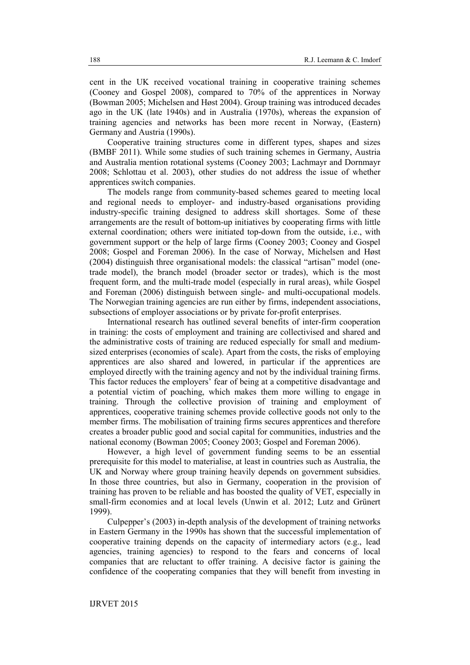cent in the UK received vocational training in cooperative training schemes (Cooney and Gospel 2008), compared to 70% of the apprentices in Norway (Bowman 2005; Michelsen and Høst 2004). Group training was introduced decades ago in the UK (late 1940s) and in Australia (1970s), whereas the expansion of training agencies and networks has been more recent in Norway, (Eastern) Germany and Austria (1990s).

Cooperative training structures come in different types, shapes and sizes (BMBF 2011). While some studies of such training schemes in Germany, Austria and Australia mention rotational systems (Cooney 2003; Lachmayr and Dornmayr 2008; Schlottau et al. 2003), other studies do not address the issue of whether apprentices switch companies.

The models range from community-based schemes geared to meeting local and regional needs to employer- and industry-based organisations providing industry-specific training designed to address skill shortages. Some of these arrangements are the result of bottom-up initiatives by cooperating firms with little external coordination; others were initiated top-down from the outside, i.e., with government support or the help of large firms (Cooney 2003; Cooney and Gospel 2008; Gospel and Foreman 2006). In the case of Norway, Michelsen and Høst (2004) distinguish three organisational models: the classical "artisan" model (onetrade model), the branch model (broader sector or trades), which is the most frequent form, and the multi-trade model (especially in rural areas), while Gospel and Foreman (2006) distinguish between single- and multi-occupational models. The Norwegian training agencies are run either by firms, independent associations, subsections of employer associations or by private for-profit enterprises.

International research has outlined several benefits of inter-firm cooperation in training: the costs of employment and training are collectivised and shared and the administrative costs of training are reduced especially for small and mediumsized enterprises (economies of scale). Apart from the costs, the risks of employing apprentices are also shared and lowered, in particular if the apprentices are employed directly with the training agency and not by the individual training firms. This factor reduces the employers' fear of being at a competitive disadvantage and a potential victim of poaching, which makes them more willing to engage in training. Through the collective provision of training and employment of apprentices, cooperative training schemes provide collective goods not only to the member firms. The mobilisation of training firms secures apprentices and therefore creates a broader public good and social capital for communities, industries and the national economy (Bowman 2005; Cooney 2003; Gospel and Foreman 2006).

However, a high level of government funding seems to be an essential prerequisite for this model to materialise, at least in countries such as Australia, the UK and Norway where group training heavily depends on government subsidies. In those three countries, but also in Germany, cooperation in the provision of training has proven to be reliable and has boosted the quality of VET, especially in small-firm economies and at local levels (Unwin et al. 2012; Lutz and Grünert 1999).

Culpepper's (2003) in-depth analysis of the development of training networks in Eastern Germany in the 1990s has shown that the successful implementation of cooperative training depends on the capacity of intermediary actors (e.g., lead agencies, training agencies) to respond to the fears and concerns of local companies that are reluctant to offer training. A decisive factor is gaining the confidence of the cooperating companies that they will benefit from investing in

IJRVET 2015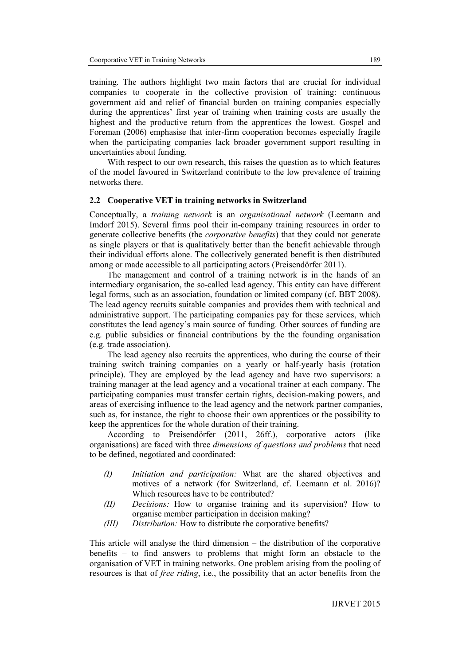training. The authors highlight two main factors that are crucial for individual companies to cooperate in the collective provision of training: continuous government aid and relief of financial burden on training companies especially during the apprentices' first year of training when training costs are usually the highest and the productive return from the apprentices the lowest. Gospel and Foreman (2006) emphasise that inter-firm cooperation becomes especially fragile when the participating companies lack broader government support resulting in uncertainties about funding.

With respect to our own research, this raises the question as to which features of the model favoured in Switzerland contribute to the low prevalence of training networks there.

### **2.2 Cooperative VET in training networks in Switzerland**

Conceptually, a *training network* is an *organisational network* (Leemann and Imdorf 2015). Several firms pool their in-company training resources in order to generate collective benefits (the *corporative benefits*) that they could not generate as single players or that is qualitatively better than the benefit achievable through their individual efforts alone. The collectively generated benefit is then distributed among or made accessible to all participating actors (Preisendörfer 2011).

The management and control of a training network is in the hands of an intermediary organisation, the so-called lead agency. This entity can have different legal forms, such as an association, foundation or limited company (cf. BBT 2008). The lead agency recruits suitable companies and provides them with technical and administrative support. The participating companies pay for these services, which constitutes the lead agency's main source of funding. Other sources of funding are e.g. public subsidies or financial contributions by the the founding organisation (e.g. trade association).

The lead agency also recruits the apprentices, who during the course of their training switch training companies on a yearly or half-yearly basis (rotation principle). They are employed by the lead agency and have two supervisors: a training manager at the lead agency and a vocational trainer at each company. The participating companies must transfer certain rights, decision-making powers, and areas of exercising influence to the lead agency and the network partner companies, such as, for instance, the right to choose their own apprentices or the possibility to keep the apprentices for the whole duration of their training.

According to Preisendörfer (2011, 26ff.), corporative actors (like organisations) are faced with three *dimensions of questions and problems* that need to be defined, negotiated and coordinated:

- *(I) Initiation and participation:* What are the shared objectives and motives of a network (for Switzerland, cf. Leemann et al. 2016)? Which resources have to be contributed?
- *(II) Decisions:* How to organise training and its supervision? How to organise member participation in decision making?
- *(III) Distribution:* How to distribute the corporative benefits?

This article will analyse the third dimension – the distribution of the corporative benefits – to find answers to problems that might form an obstacle to the organisation of VET in training networks. One problem arising from the pooling of resources is that of *free riding*, i.e., the possibility that an actor benefits from the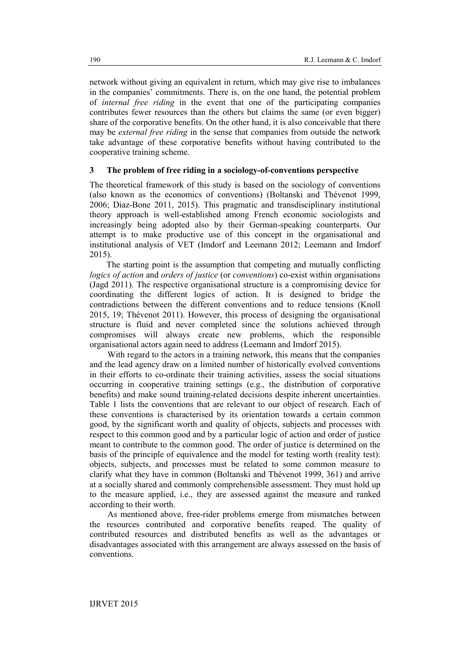network without giving an equivalent in return, which may give rise to imbalances in the companies' commitments. There is, on the one hand, the potential problem of *internal free riding* in the event that one of the participating companies contributes fewer resources than the others but claims the same (or even bigger) share of the corporative benefits. On the other hand, it is also conceivable that there may be *external free riding* in the sense that companies from outside the network take advantage of these corporative benefits without having contributed to the cooperative training scheme.

## **3 The problem of free riding in a sociology-of-conventions perspective**

The theoretical framework of this study is based on the sociology of conventions (also known as the economics of conventions) (Boltanski and Thévenot 1999, 2006; Diaz-Bone 2011, 2015). This pragmatic and transdisciplinary institutional theory approach is well-established among French economic sociologists and increasingly being adopted also by their German-speaking counterparts. Our attempt is to make productive use of this concept in the organisational and institutional analysis of VET (Imdorf and Leemann 2012; Leemann and Imdorf 2015).

The starting point is the assumption that competing and mutually conflicting *logics of action* and *orders of justice* (or *conventions*) co-exist within organisations (Jagd 2011). The respective organisational structure is a compromising device for coordinating the different logics of action. It is designed to bridge the contradictions between the different conventions and to reduce tensions (Knoll 2015, 19; Thévenot 2011). However, this process of designing the organisational structure is fluid and never completed since the solutions achieved through compromises will always create new problems, which the responsible organisational actors again need to address (Leemann and Imdorf 2015).

With regard to the actors in a training network, this means that the companies and the lead agency draw on a limited number of historically evolved conventions in their efforts to co-ordinate their training activities, assess the social situations occurring in cooperative training settings (e.g., the distribution of corporative benefits) and make sound training-related decisions despite inherent uncertainties. Table 1 lists the conventions that are relevant to our object of research. Each of these conventions is characterised by its orientation towards a certain common good, by the significant worth and quality of objects, subjects and processes with respect to this common good and by a particular logic of action and order of justice meant to contribute to the common good. The order of justice is determined on the basis of the principle of equivalence and the model for testing worth (reality test): objects, subjects, and processes must be related to some common measure to clarify what they have in common (Boltanski and Thévenot 1999, 361) and arrive at a socially shared and commonly comprehensible assessment. They must hold up to the measure applied, i.e., they are assessed against the measure and ranked according to their worth.

As mentioned above, free-rider problems emerge from mismatches between the resources contributed and corporative benefits reaped. The quality of contributed resources and distributed benefits as well as the advantages or disadvantages associated with this arrangement are always assessed on the basis of conventions.

IJRVET 2015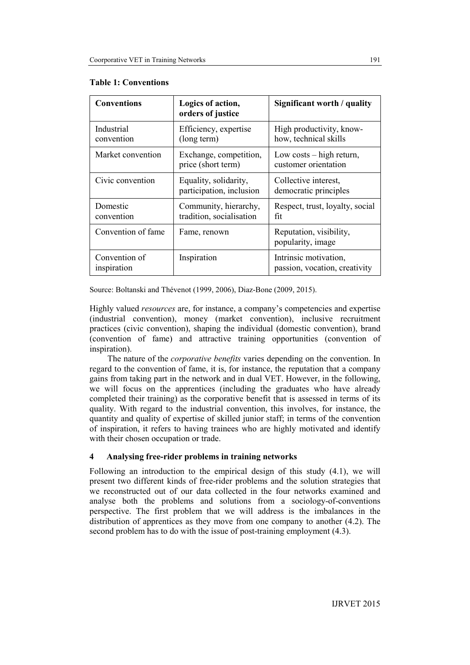|  |  | <b>Table 1: Conventions</b> |
|--|--|-----------------------------|
|--|--|-----------------------------|

| <b>Conventions</b>           | Logics of action,<br>orders of justice            | Significant worth / quality                            |
|------------------------------|---------------------------------------------------|--------------------------------------------------------|
| Industrial<br>convention     | Efficiency, expertise<br>(long term)              | High productivity, know-<br>how, technical skills      |
| Market convention            | Exchange, competition,<br>price (short term)      | Low costs $-$ high return,<br>customer orientation     |
| Civic convention             | Equality, solidarity,<br>participation, inclusion | Collective interest,<br>democratic principles          |
| Domestic<br>convention       | Community, hierarchy,<br>tradition, socialisation | Respect, trust, loyalty, social<br>fit                 |
| Convention of fame           | Fame, renown                                      | Reputation, visibility,<br>popularity, image           |
| Convention of<br>inspiration | Inspiration                                       | Intrinsic motivation,<br>passion, vocation, creativity |

Source: Boltanski and Thévenot (1999, 2006), Diaz-Bone (2009, 2015).

Highly valued *resources* are, for instance, a company's competencies and expertise (industrial convention), money (market convention), inclusive recruitment practices (civic convention), shaping the individual (domestic convention), brand (convention of fame) and attractive training opportunities (convention of inspiration).

The nature of the *corporative benefits* varies depending on the convention. In regard to the convention of fame, it is, for instance, the reputation that a company gains from taking part in the network and in dual VET. However, in the following, we will focus on the apprentices (including the graduates who have already completed their training) as the corporative benefit that is assessed in terms of its quality. With regard to the industrial convention, this involves, for instance, the quantity and quality of expertise of skilled junior staff; in terms of the convention of inspiration, it refers to having trainees who are highly motivated and identify with their chosen occupation or trade.

# **4 Analysing free-rider problems in training networks**

Following an introduction to the empirical design of this study (4.1), we will present two different kinds of free-rider problems and the solution strategies that we reconstructed out of our data collected in the four networks examined and analyse both the problems and solutions from a sociology-of-conventions perspective. The first problem that we will address is the imbalances in the distribution of apprentices as they move from one company to another (4.2). The second problem has to do with the issue of post-training employment (4.3).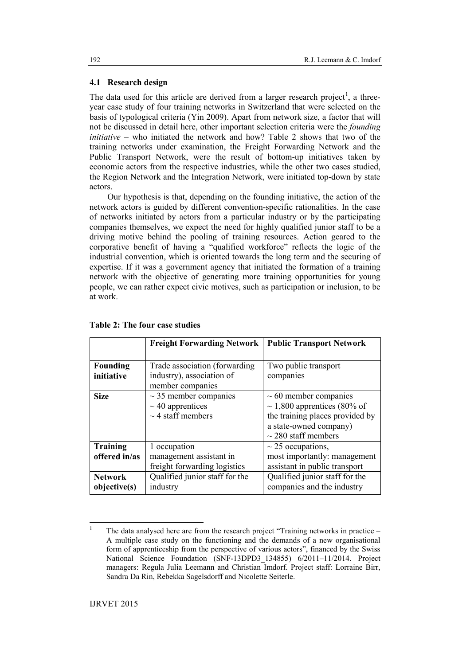### <span id="page-8-1"></span>**4.1 Research design**

The data used for this article are derived from a larger research project<sup>[1](#page-8-0)</sup>, a threeyear case study of four training networks in Switzerland that were selected on the basis of typological criteria (Yin 2009). Apart from network size, a factor that will not be discussed in detail here, other important selection criteria were the *founding initiative* – who initiated the network and how? Table 2 shows that two of the training networks under examination, the Freight Forwarding Network and the Public Transport Network, were the result of bottom-up initiatives taken by economic actors from the respective industries, while the other two cases studied, the Region Network and the Integration Network, were initiated top-down by state actors.

Our hypothesis is that, depending on the founding initiative, the action of the network actors is guided by different convention-specific rationalities. In the case of networks initiated by actors from a particular industry or by the participating companies themselves, we expect the need for highly qualified junior staff to be a driving motive behind the pooling of training resources. Action geared to the corporative benefit of having a "qualified workforce" reflects the logic of the industrial convention, which is oriented towards the long term and the securing of expertise. If it was a government agency that initiated the formation of a training network with the objective of generating more training opportunities for young people, we can rather expect civic motives, such as participation or inclusion, to be at work.

|                 | <b>Freight Forwarding Network</b> | <b>Public Transport Network</b>  |
|-----------------|-----------------------------------|----------------------------------|
|                 |                                   |                                  |
| Founding        | Trade association (forwarding)    | Two public transport             |
| initiative      | industry), association of         | companies                        |
|                 | member companies                  |                                  |
| <b>Size</b>     | $\sim$ 35 member companies        | $\sim 60$ member companies       |
|                 | $\sim$ 40 apprentices             | $\sim$ 1,800 apprentices (80% of |
|                 | $\sim$ 4 staff members            | the training places provided by  |
|                 |                                   | a state-owned company)           |
|                 |                                   | $\sim$ 280 staff members         |
| <b>Training</b> | 1 occupation                      | $\sim$ 25 occupations,           |
| offered in/as   | management assistant in           | most importantly: management     |
|                 | freight forwarding logistics      | assistant in public transport    |
| <b>Network</b>  | Qualified junior staff for the    | Qualified junior staff for the   |
| objective(s)    | industry                          | companies and the industry       |

### **Table 2: The four case studies**

#### 192

<span id="page-8-0"></span>The data analysed here are from the research project "Training networks in practice – A multiple case study on the functioning and the demands of a new organisational form of apprenticeship from the perspective of various actors", financed by the Swiss National Science Foundation (SNF-13DPD3\_134855) 6/2011–11/2014. Project managers: Regula Julia Leemann and Christian Imdorf. Project staff: Lorraine Birr, Sandra Da Rin, Rebekka Sagelsdorff and Nicolette Seiterle.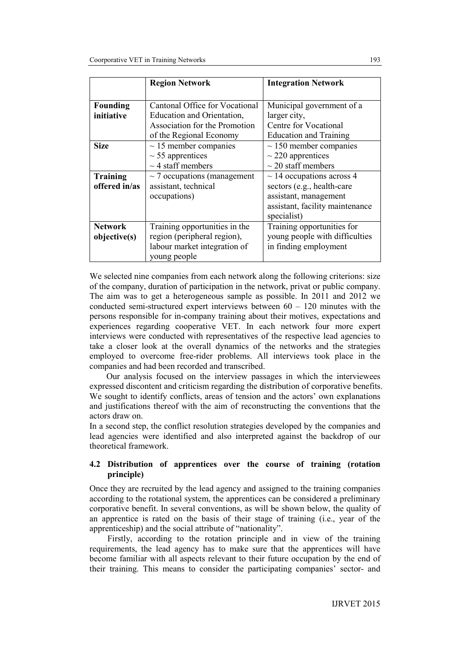|                 | <b>Region Network</b>            | <b>Integration Network</b>      |
|-----------------|----------------------------------|---------------------------------|
|                 |                                  |                                 |
| <b>Founding</b> | Cantonal Office for Vocational   | Municipal government of a       |
| initiative      | Education and Orientation,       | larger city,                    |
|                 | Association for the Promotion    | Centre for Vocational           |
|                 | of the Regional Economy          | <b>Education and Training</b>   |
| <b>Size</b>     | $\sim$ 15 member companies       | $\sim$ 150 member companies     |
|                 | $\sim$ 55 apprentices            | $\sim$ 220 apprentices          |
|                 | $\sim$ 4 staff members           | $\sim$ 20 staff members         |
| <b>Training</b> | $\sim$ 7 occupations (management | $\sim$ 14 occupations across 4  |
| offered in/as   | assistant, technical             | sectors (e.g., health-care      |
|                 | occupations)                     | assistant, management           |
|                 |                                  | assistant, facility maintenance |
|                 |                                  | specialist)                     |
| <b>Network</b>  | Training opportunities in the    | Training opportunities for      |
| objective(s)    | region (peripheral region),      | young people with difficulties  |
|                 | labour market integration of     | in finding employment           |
|                 | young people                     |                                 |

We selected nine companies from each network along the following criterions: size of the company, duration of participation in the network, privat or public company. The aim was to get a heterogeneous sample as possible. In 2011 and 2012 we conducted semi-structured expert interviews between 60 – 120 minutes with the persons responsible for in-company training about their motives, expectations and experiences regarding cooperative VET. In each network four more expert interviews were conducted with representatives of the respective lead agencies to take a closer look at the overall dynamics of the networks and the strategies employed to overcome free-rider problems. All interviews took place in the companies and had been recorded and transcribed.

Our analysis focused on the interview passages in which the interviewees expressed discontent and criticism regarding the distribution of corporative benefits. We sought to identify conflicts, areas of tension and the actors' own explanations and justifications thereof with the aim of reconstructing the conventions that the actors draw on.

In a second step, the conflict resolution strategies developed by the companies and lead agencies were identified and also interpreted against the backdrop of our theoretical framework.

# **4.2 Distribution of apprentices over the course of training (rotation principle)**

Once they are recruited by the lead agency and assigned to the training companies according to the rotational system, the apprentices can be considered a preliminary corporative benefit. In several conventions, as will be shown below, the quality of an apprentice is rated on the basis of their stage of training (i.e., year of the apprenticeship) and the social attribute of "nationality".

Firstly, according to the rotation principle and in view of the training requirements, the lead agency has to make sure that the apprentices will have become familiar with all aspects relevant to their future occupation by the end of their training. This means to consider the participating companies' sector- and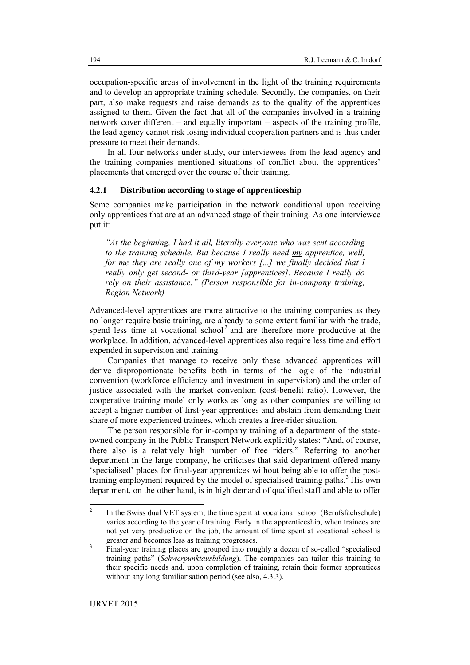occupation-specific areas of involvement in the light of the training requirements and to develop an appropriate training schedule. Secondly, the companies, on their part, also make requests and raise demands as to the quality of the apprentices assigned to them. Given the fact that all of the companies involved in a training network cover different – and equally important – aspects of the training profile, the lead agency cannot risk losing individual cooperation partners and is thus under pressure to meet their demands.

In all four networks under study, our interviewees from the lead agency and the training companies mentioned situations of conflict about the apprentices' placements that emerged over the course of their training.

### <span id="page-10-2"></span>**4.2.1 Distribution according to stage of apprenticeship**

Some companies make participation in the network conditional upon receiving only apprentices that are at an advanced stage of their training. As one interviewee put it:

*"At the beginning, I had it all, literally everyone who was sent according to the training schedule. But because I really need my apprentice, well, for me they are really one of my workers [...] we finally decided that I really only get second- or third-year [apprentices]. Because I really do rely on their assistance." (Person responsible for in-company training, Region Network)*

Advanced-level apprentices are more attractive to the training companies as they no longer require basic training, are already to some extent familiar with the trade, spend less time at vocational school<sup>[2](#page-10-0)</sup> and are therefore more productive at the workplace. In addition, advanced-level apprentices also require less time and effort expended in supervision and training.

Companies that manage to receive only these advanced apprentices will derive disproportionate benefits both in terms of the logic of the industrial convention (workforce efficiency and investment in supervision) and the order of justice associated with the market convention (cost-benefit ratio). However, the cooperative training model only works as long as other companies are willing to accept a higher number of first-year apprentices and abstain from demanding their share of more experienced trainees, which creates a free-rider situation.

The person responsible for in-company training of a department of the stateowned company in the Public Transport Network explicitly states: "And, of course, there also is a relatively high number of free riders." Referring to another department in the large company, he criticises that said department offered many 'specialised' places for final-year apprentices without being able to offer the posttraining employment required by the model of specialised training paths. [3](#page-10-1) His own department, on the other hand, is in high demand of qualified staff and able to offer

<span id="page-10-0"></span><sup>&</sup>lt;sup>2</sup> In the Swiss dual VET system, the time spent at vocational school (Berufsfachschule) varies according to the year of training. Early in the apprenticeship, when trainees are not yet very productive on the job, the amount of time spent at vocational school is greater and becomes less as training progresses.<br><sup>3</sup> Final-year training places are grouped into roughly a dozen of so-called "specialised"

<span id="page-10-1"></span>training paths" (*Schwerpunktausbildung*). The companies can tailor this training to their specific needs and, upon completion of training, retain their former apprentices without any long familiarisation period (see also[, 4.3.3\)](#page-18-0).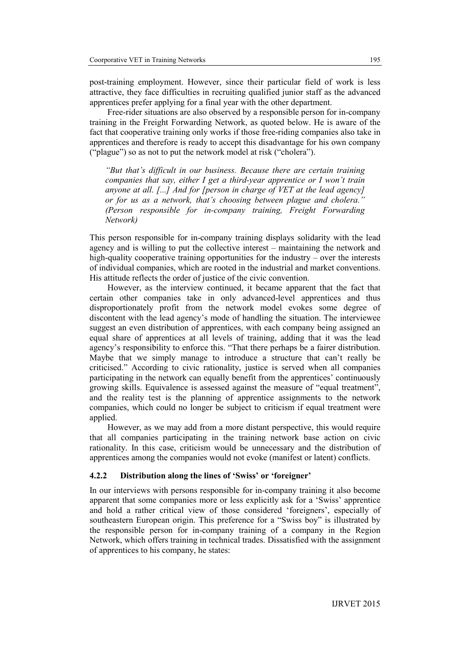post-training employment. However, since their particular field of work is less attractive, they face difficulties in recruiting qualified junior staff as the advanced apprentices prefer applying for a final year with the other department.

Free-rider situations are also observed by a responsible person for in-company training in the Freight Forwarding Network, as quoted below. He is aware of the fact that cooperative training only works if those free-riding companies also take in apprentices and therefore is ready to accept this disadvantage for his own company ("plague") so as not to put the network model at risk ("cholera").

*"But that's difficult in our business. Because there are certain training companies that say, either I get a third-year apprentice or I won't train anyone at all. [...] And for [person in charge of VET at the lead agency] or for us as a network, that's choosing between plague and cholera." (Person responsible for in-company training, Freight Forwarding Network)*

This person responsible for in-company training displays solidarity with the lead agency and is willing to put the collective interest – maintaining the network and high-quality cooperative training opportunities for the industry – over the interests of individual companies, which are rooted in the industrial and market conventions. His attitude reflects the order of justice of the civic convention.

However, as the interview continued, it became apparent that the fact that certain other companies take in only advanced-level apprentices and thus disproportionately profit from the network model evokes some degree of discontent with the lead agency's mode of handling the situation. The interviewee suggest an even distribution of apprentices, with each company being assigned an equal share of apprentices at all levels of training, adding that it was the lead agency's responsibility to enforce this. "That there perhaps be a fairer distribution. Maybe that we simply manage to introduce a structure that can't really be criticised." According to civic rationality, justice is served when all companies participating in the network can equally benefit from the apprentices' continuously growing skills. Equivalence is assessed against the measure of "equal treatment", and the reality test is the planning of apprentice assignments to the network companies, which could no longer be subject to criticism if equal treatment were applied.

However, as we may add from a more distant perspective, this would require that all companies participating in the training network base action on civic rationality. In this case, criticism would be unnecessary and the distribution of apprentices among the companies would not evoke (manifest or latent) conflicts.

### **4.2.2 Distribution along the lines of 'Swiss' or 'foreigner'**

In our interviews with persons responsible for in-company training it also become apparent that some companies more or less explicitly ask for a 'Swiss' apprentice and hold a rather critical view of those considered 'foreigners', especially of southeastern European origin. This preference for a "Swiss boy" is illustrated by the responsible person for in-company training of a company in the Region Network, which offers training in technical trades. Dissatisfied with the assignment of apprentices to his company, he states: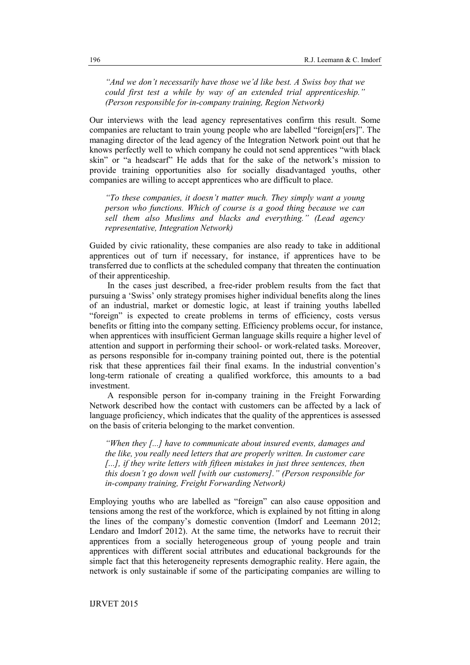*"And we don't necessarily have those we'd like best. A Swiss boy that we could first test a while by way of an extended trial apprenticeship." (Person responsible for in-company training, Region Network)*

Our interviews with the lead agency representatives confirm this result. Some companies are reluctant to train young people who are labelled "foreign[ers]". The managing director of the lead agency of the Integration Network point out that he knows perfectly well to which company he could not send apprentices "with black skin" or "a headscarf" He adds that for the sake of the network's mission to provide training opportunities also for socially disadvantaged youths, other companies are willing to accept apprentices who are difficult to place.

*"To these companies, it doesn't matter much. They simply want a young person who functions. Which of course is a good thing because we can sell them also Muslims and blacks and everything." (Lead agency representative, Integration Network)*

Guided by civic rationality, these companies are also ready to take in additional apprentices out of turn if necessary, for instance, if apprentices have to be transferred due to conflicts at the scheduled company that threaten the continuation of their apprenticeship.

In the cases just described, a free-rider problem results from the fact that pursuing a 'Swiss' only strategy promises higher individual benefits along the lines of an industrial, market or domestic logic, at least if training youths labelled "foreign" is expected to create problems in terms of efficiency, costs versus benefits or fitting into the company setting. Efficiency problems occur, for instance, when apprentices with insufficient German language skills require a higher level of attention and support in performing their school- or work-related tasks. Moreover, as persons responsible for in-company training pointed out, there is the potential risk that these apprentices fail their final exams. In the industrial convention's long-term rationale of creating a qualified workforce, this amounts to a bad investment.

A responsible person for in-company training in the Freight Forwarding Network described how the contact with customers can be affected by a lack of language proficiency, which indicates that the quality of the apprentices is assessed on the basis of criteria belonging to the market convention.

*"When they [...] have to communicate about insured events, damages and the like, you really need letters that are properly written. In customer care*  [...], *if they write letters with fifteen mistakes in just three sentences, then this doesn't go down well [with our customers]." (Person responsible for in-company training, Freight Forwarding Network)*

Employing youths who are labelled as "foreign" can also cause opposition and tensions among the rest of the workforce, which is explained by not fitting in along the lines of the company's domestic convention (Imdorf and Leemann 2012; Lendaro and Imdorf 2012). At the same time, the networks have to recruit their apprentices from a socially heterogeneous group of young people and train apprentices with different social attributes and educational backgrounds for the simple fact that this heterogeneity represents demographic reality. Here again, the network is only sustainable if some of the participating companies are willing to

IJRVET 2015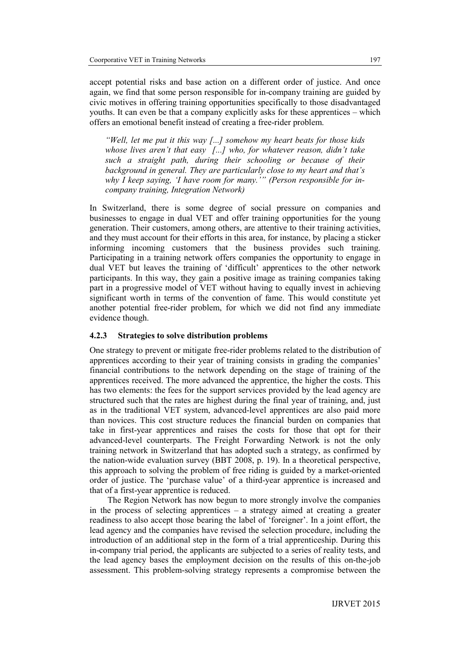accept potential risks and base action on a different order of justice. And once again, we find that some person responsible for in-company training are guided by civic motives in offering training opportunities specifically to those disadvantaged youths. It can even be that a company explicitly asks for these apprentices – which offers an emotional benefit instead of creating a free-rider problem.

*"Well, let me put it this way [...] somehow my heart beats for those kids whose lives aren't that easy [...] who, for whatever reason, didn't take such a straight path, during their schooling or because of their background in general. They are particularly close to my heart and that's why I keep saying, 'I have room for many.'" (Person responsible for incompany training, Integration Network)*

In Switzerland, there is some degree of social pressure on companies and businesses to engage in dual VET and offer training opportunities for the young generation. Their customers, among others, are attentive to their training activities, and they must account for their efforts in this area, for instance, by placing a sticker informing incoming customers that the business provides such training. Participating in a training network offers companies the opportunity to engage in dual VET but leaves the training of 'difficult' apprentices to the other network participants. In this way, they gain a positive image as training companies taking part in a progressive model of VET without having to equally invest in achieving significant worth in terms of the convention of fame. This would constitute yet another potential free-rider problem, for which we did not find any immediate evidence though.

# **4.2.3 Strategies to solve distribution problems**

One strategy to prevent or mitigate free-rider problems related to the distribution of apprentices according to their year of training consists in grading the companies' financial contributions to the network depending on the stage of training of the apprentices received. The more advanced the apprentice, the higher the costs. This has two elements: the fees for the support services provided by the lead agency are structured such that the rates are highest during the final year of training, and, just as in the traditional VET system, advanced-level apprentices are also paid more than novices. This cost structure reduces the financial burden on companies that take in first-year apprentices and raises the costs for those that opt for their advanced-level counterparts. The Freight Forwarding Network is not the only training network in Switzerland that has adopted such a strategy, as confirmed by the nation-wide evaluation survey (BBT 2008, p. 19). In a theoretical perspective, this approach to solving the problem of free riding is guided by a market-oriented order of justice. The 'purchase value' of a third-year apprentice is increased and that of a first-year apprentice is reduced.

The Region Network has now begun to more strongly involve the companies in the process of selecting apprentices – a strategy aimed at creating a greater readiness to also accept those bearing the label of 'foreigner'. In a joint effort, the lead agency and the companies have revised the selection procedure, including the introduction of an additional step in the form of a trial apprenticeship. During this in-company trial period, the applicants are subjected to a series of reality tests, and the lead agency bases the employment decision on the results of this on-the-job assessment. This problem-solving strategy represents a compromise between the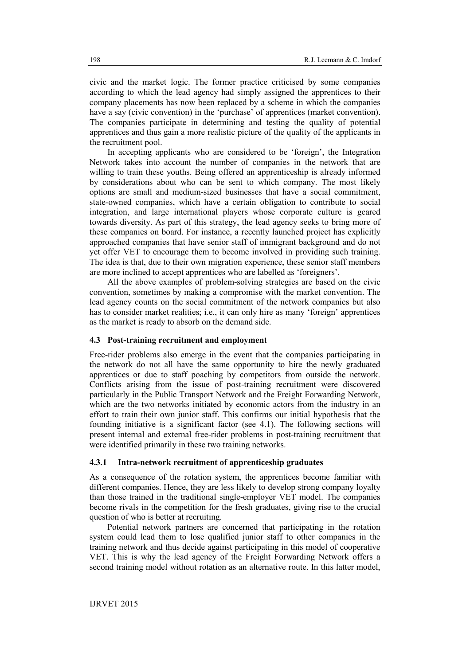civic and the market logic. The former practice criticised by some companies according to which the lead agency had simply assigned the apprentices to their company placements has now been replaced by a scheme in which the companies have a say (civic convention) in the 'purchase' of apprentices (market convention). The companies participate in determining and testing the quality of potential apprentices and thus gain a more realistic picture of the quality of the applicants in the recruitment pool.

In accepting applicants who are considered to be 'foreign', the Integration Network takes into account the number of companies in the network that are willing to train these youths. Being offered an apprenticeship is already informed by considerations about who can be sent to which company. The most likely options are small and medium-sized businesses that have a social commitment, state-owned companies, which have a certain obligation to contribute to social integration, and large international players whose corporate culture is geared towards diversity. As part of this strategy, the lead agency seeks to bring more of these companies on board. For instance, a recently launched project has explicitly approached companies that have senior staff of immigrant background and do not yet offer VET to encourage them to become involved in providing such training. The idea is that, due to their own migration experience, these senior staff members are more inclined to accept apprentices who are labelled as 'foreigners'.

All the above examples of problem-solving strategies are based on the civic convention, sometimes by making a compromise with the market convention. The lead agency counts on the social commitment of the network companies but also has to consider market realities; i.e., it can only hire as many 'foreign' apprentices as the market is ready to absorb on the demand side.

### **4.3 Post-training recruitment and employment**

Free-rider problems also emerge in the event that the companies participating in the network do not all have the same opportunity to hire the newly graduated apprentices or due to staff poaching by competitors from outside the network. Conflicts arising from the issue of post-training recruitment were discovered particularly in the Public Transport Network and the Freight Forwarding Network, which are the two networks initiated by economic actors from the industry in an effort to train their own junior staff. This confirms our initial hypothesis that the founding initiative is a significant factor (see [4.1\)](#page-8-1). The following sections will present internal and external free-rider problems in post-training recruitment that were identified primarily in these two training networks.

### <span id="page-14-0"></span>**4.3.1 Intra-network recruitment of apprenticeship graduates**

As a consequence of the rotation system, the apprentices become familiar with different companies. Hence, they are less likely to develop strong company loyalty than those trained in the traditional single-employer VET model. The companies become rivals in the competition for the fresh graduates, giving rise to the crucial question of who is better at recruiting.

Potential network partners are concerned that participating in the rotation system could lead them to lose qualified junior staff to other companies in the training network and thus decide against participating in this model of cooperative VET. This is why the lead agency of the Freight Forwarding Network offers a second training model without rotation as an alternative route. In this latter model,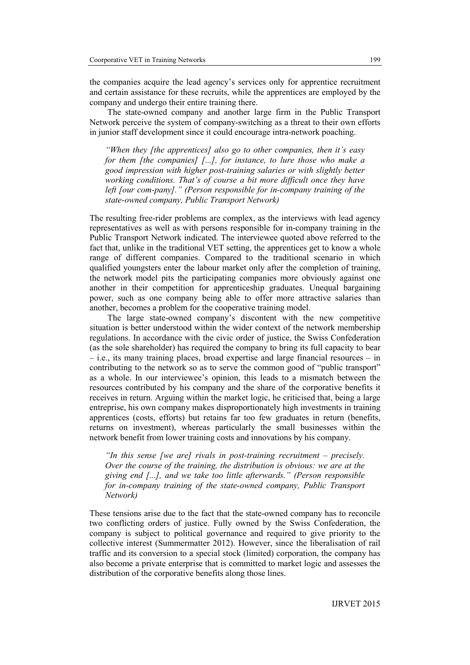the companies acquire the lead agency's services only for apprentice recruitment and certain assistance for these recruits, while the apprentices are employed by the company and undergo their entire training there.

The state-owned company and another large firm in the Public Transport Network perceive the system of company-switching as a threat to their own efforts in junior staff development since it could encourage intra-network poaching.

*"When they [the apprentices] also go to other companies, then it's easy for them [the companies] [...], for instance, to lure those who make a good impression with higher post-training salaries or with slightly better working conditions. That's of course a bit more difficult once they have left [our com-pany]." (Person responsible for in-company training of the state-owned company, Public Transport Network)*

The resulting free-rider problems are complex, as the interviews with lead agency representatives as well as with persons responsible for in-company training in the Public Transport Network indicated. The interviewee quoted above referred to the fact that, unlike in the traditional VET setting, the apprentices get to know a whole range of different companies. Compared to the traditional scenario in which qualified youngsters enter the labour market only after the completion of training, the network model pits the participating companies more obviously against one another in their competition for apprenticeship graduates. Unequal bargaining power, such as one company being able to offer more attractive salaries than another, becomes a problem for the cooperative training model.

The large state-owned company's discontent with the new competitive situation is better understood within the wider context of the network membership regulations. In accordance with the civic order of justice, the Swiss Confederation (as the sole shareholder) has required the company to bring its full capacity to bear – i.e., its many training places, broad expertise and large financial resources – in contributing to the network so as to serve the common good of "public transport" as a whole. In our interviewee's opinion, this leads to a mismatch between the resources contributed by his company and the share of the corporative benefits it receives in return. Arguing within the market logic, he criticised that, being a large entreprise, his own company makes disproportionately high investments in training apprentices (costs, efforts) but retains far too few graduates in return (benefits, returns on investment), whereas particularly the small businesses within the network benefit from lower training costs and innovations by his company.

*"In this sense [we are] rivals in post-training recruitment – precisely. Over the course of the training, the distribution is obvious: we are at the giving end [...], and we take too little afterwards." (Person responsible for in-company training of the state-owned company, Public Transport Network)*

These tensions arise due to the fact that the state-owned company has to reconcile two conflicting orders of justice. Fully owned by the Swiss Confederation, the company is subject to political governance and required to give priority to the collective interest (Summermatter 2012). However, since the liberalisation of rail traffic and its conversion to a special stock (limited) corporation, the company has also become a private enterprise that is committed to market logic and assesses the distribution of the corporative benefits along those lines.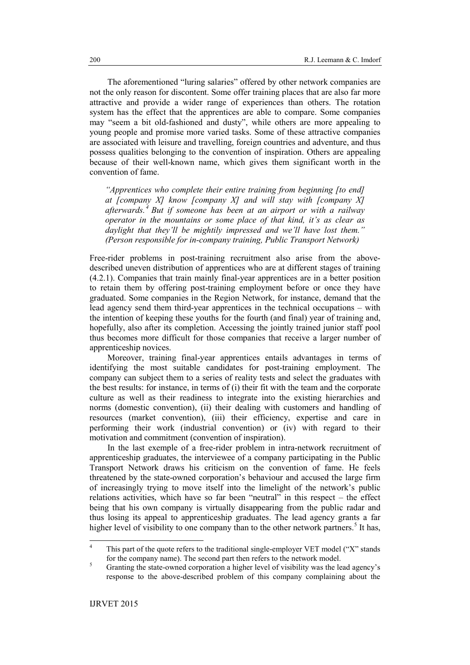The aforementioned "luring salaries" offered by other network companies are not the only reason for discontent. Some offer training places that are also far more attractive and provide a wider range of experiences than others. The rotation system has the effect that the apprentices are able to compare. Some companies may "seem a bit old-fashioned and dusty", while others are more appealing to young people and promise more varied tasks. Some of these attractive companies are associated with leisure and travelling, foreign countries and adventure, and thus possess qualities belonging to the convention of inspiration. Others are appealing because of their well-known name, which gives them significant worth in the convention of fame.

*"Apprentices who complete their entire training from beginning [to end] at [company X] know [company X] and will stay with [company X] afterwards. [4](#page-16-0) But if someone has been at an airport or with a railway operator in the mountains or some place of that kind, it's as clear as daylight that they'll be mightily impressed and we'll have lost them." (Person responsible for in-company training, Public Transport Network)*

Free-rider problems in post-training recruitment also arise from the abovedescribed uneven distribution of apprentices who are at different stages of training [\(4.2.1\)](#page-10-2). Companies that train mainly final-year apprentices are in a better position to retain them by offering post-training employment before or once they have graduated. Some companies in the Region Network, for instance, demand that the lead agency send them third-year apprentices in the technical occupations – with the intention of keeping these youths for the fourth (and final) year of training and, hopefully, also after its completion. Accessing the jointly trained junior staff pool thus becomes more difficult for those companies that receive a larger number of apprenticeship novices.

Moreover, training final-year apprentices entails advantages in terms of identifying the most suitable candidates for post-training employment. The company can subject them to a series of reality tests and select the graduates with the best results: for instance, in terms of (i) their fit with the team and the corporate culture as well as their readiness to integrate into the existing hierarchies and norms (domestic convention), (ii) their dealing with customers and handling of resources (market convention), (iii) their efficiency, expertise and care in performing their work (industrial convention) or (iv) with regard to their motivation and commitment (convention of inspiration).

In the last exemple of a free-rider problem in intra-network recruitment of apprenticeship graduates, the interviewee of a company participating in the Public Transport Network draws his criticism on the convention of fame. He feels threatened by the state-owned corporation's behaviour and accused the large firm of increasingly trying to move itself into the limelight of the network's public relations activities, which have so far been "neutral" in this respect – the effect being that his own company is virtually disappearing from the public radar and thus losing its appeal to apprenticeship graduates. The lead agency grants a far higher level of visibility to one company than to the other network partners.<sup>[5](#page-16-1)</sup> It has,

<span id="page-16-0"></span><sup>&</sup>lt;sup>4</sup> This part of the quote refers to the traditional single-employer VET model ("X" stands")

<span id="page-16-1"></span>for the company name). The second part then refers to the network model.<br>
<sup>5</sup> Granting the state-owned corporation a higher level of visibility was the lead agency's response to the above-described problem of this company complaining about the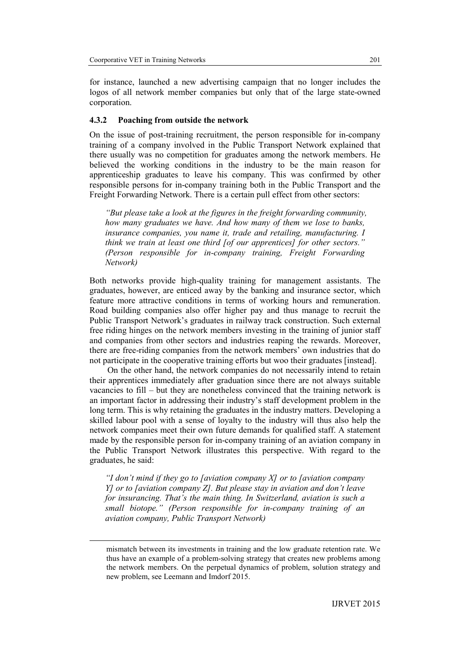for instance, launched a new advertising campaign that no longer includes the logos of all network member companies but only that of the large state-owned corporation.

### **4.3.2 Poaching from outside the network**

On the issue of post-training recruitment, the person responsible for in-company training of a company involved in the Public Transport Network explained that there usually was no competition for graduates among the network members. He believed the working conditions in the industry to be the main reason for apprenticeship graduates to leave his company. This was confirmed by other responsible persons for in-company training both in the Public Transport and the Freight Forwarding Network. There is a certain pull effect from other sectors:

*"But please take a look at the figures in the freight forwarding community, how many graduates we have. And how many of them we lose to banks, insurance companies, you name it, trade and retailing, manufacturing. I think we train at least one third [of our apprentices] for other sectors." (Person responsible for in-company training, Freight Forwarding Network)*

Both networks provide high-quality training for management assistants. The graduates, however, are enticed away by the banking and insurance sector, which feature more attractive conditions in terms of working hours and remuneration. Road building companies also offer higher pay and thus manage to recruit the Public Transport Network's graduates in railway track construction. Such external free riding hinges on the network members investing in the training of junior staff and companies from other sectors and industries reaping the rewards. Moreover, there are free-riding companies from the network members' own industries that do not participate in the cooperative training efforts but woo their graduates [instead].

On the other hand, the network companies do not necessarily intend to retain their apprentices immediately after graduation since there are not always suitable vacancies to fill – but they are nonetheless convinced that the training network is an important factor in addressing their industry's staff development problem in the long term. This is why retaining the graduates in the industry matters. Developing a skilled labour pool with a sense of loyalty to the industry will thus also help the network companies meet their own future demands for qualified staff. A statement made by the responsible person for in-company training of an aviation company in the Public Transport Network illustrates this perspective. With regard to the graduates, he said:

*"I don't mind if they go to [aviation company X] or to [aviation company Y] or to [aviation company Z]. But please stay in aviation and don't leave for insurancing. That's the main thing. In Switzerland, aviation is such a small biotope." (Person responsible for in-company training of an aviation company, Public Transport Network)*

l

mismatch between its investments in training and the low graduate retention rate. We thus have an example of a problem-solving strategy that creates new problems among the network members. On the perpetual dynamics of problem, solution strategy and new problem, see Leemann and Imdorf 2015.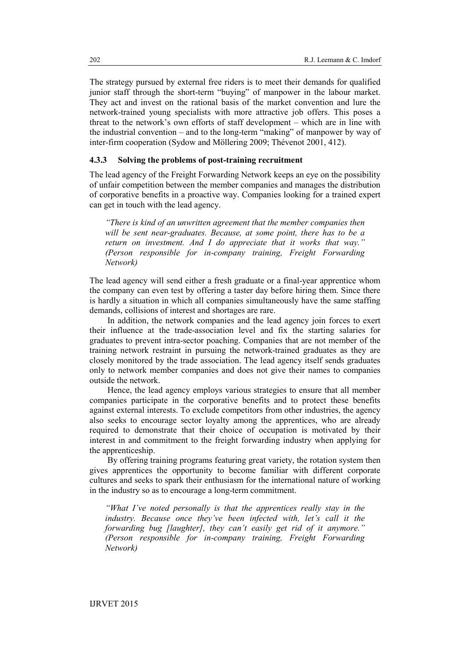The strategy pursued by external free riders is to meet their demands for qualified junior staff through the short-term "buying" of manpower in the labour market. They act and invest on the rational basis of the market convention and lure the network-trained young specialists with more attractive job offers. This poses a threat to the network's own efforts of staff development – which are in line with the industrial convention – and to the long-term "making" of manpower by way of inter-firm cooperation (Sydow and Möllering 2009; Thévenot 2001, 412).

# <span id="page-18-0"></span>**4.3.3 Solving the problems of post-training recruitment**

The lead agency of the Freight Forwarding Network keeps an eye on the possibility of unfair competition between the member companies and manages the distribution of corporative benefits in a proactive way. Companies looking for a trained expert can get in touch with the lead agency.

*"There is kind of an unwritten agreement that the member companies then will be sent near-graduates. Because, at some point, there has to be a return on investment. And I do appreciate that it works that way." (Person responsible for in-company training, Freight Forwarding Network)*

The lead agency will send either a fresh graduate or a final-year apprentice whom the company can even test by offering a taster day before hiring them. Since there is hardly a situation in which all companies simultaneously have the same staffing demands, collisions of interest and shortages are rare.

In addition, the network companies and the lead agency join forces to exert their influence at the trade-association level and fix the starting salaries for graduates to prevent intra-sector poaching. Companies that are not member of the training network restraint in pursuing the network-trained graduates as they are closely monitored by the trade association. The lead agency itself sends graduates only to network member companies and does not give their names to companies outside the network.

Hence, the lead agency employs various strategies to ensure that all member companies participate in the corporative benefits and to protect these benefits against external interests. To exclude competitors from other industries, the agency also seeks to encourage sector loyalty among the apprentices, who are already required to demonstrate that their choice of occupation is motivated by their interest in and commitment to the freight forwarding industry when applying for the apprenticeship.

By offering training programs featuring great variety, the rotation system then gives apprentices the opportunity to become familiar with different corporate cultures and seeks to spark their enthusiasm for the international nature of working in the industry so as to encourage a long-term commitment.

*"What I've noted personally is that the apprentices really stay in the industry. Because once they've been infected with, let's call it the forwarding bug [laughter], they can't easily get rid of it anymore." (Person responsible for in-company training, Freight Forwarding Network)*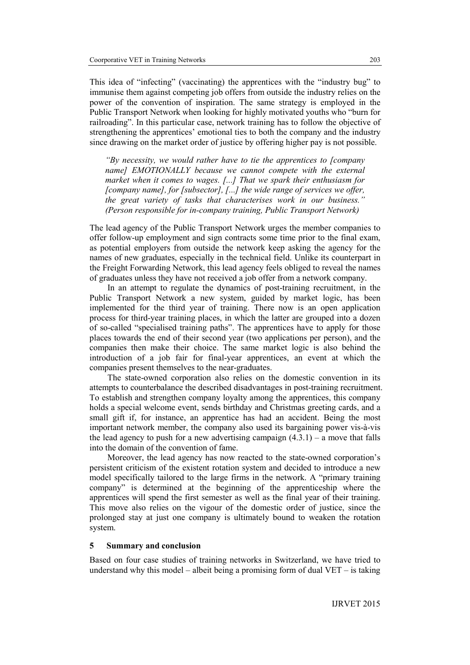This idea of "infecting" (vaccinating) the apprentices with the "industry bug" to immunise them against competing job offers from outside the industry relies on the power of the convention of inspiration. The same strategy is employed in the Public Transport Network when looking for highly motivated youths who "burn for railroading". In this particular case, network training has to follow the objective of strengthening the apprentices' emotional ties to both the company and the industry since drawing on the market order of justice by offering higher pay is not possible.

*"By necessity, we would rather have to tie the apprentices to [company name] EMOTIONALLY because we cannot compete with the external market when it comes to wages. [...] That we spark their enthusiasm for [company name], for [subsector], [...] the wide range of services we offer, the great variety of tasks that characterises work in our business." (Person responsible for in-company training, Public Transport Network)*

The lead agency of the Public Transport Network urges the member companies to offer follow-up employment and sign contracts some time prior to the final exam, as potential employers from outside the network keep asking the agency for the names of new graduates, especially in the technical field. Unlike its counterpart in the Freight Forwarding Network, this lead agency feels obliged to reveal the names of graduates unless they have not received a job offer from a network company.

In an attempt to regulate the dynamics of post-training recruitment, in the Public Transport Network a new system, guided by market logic, has been implemented for the third year of training. There now is an open application process for third-year training places, in which the latter are grouped into a dozen of so-called "specialised training paths". The apprentices have to apply for those places towards the end of their second year (two applications per person), and the companies then make their choice. The same market logic is also behind the introduction of a job fair for final-year apprentices, an event at which the companies present themselves to the near-graduates.

The state-owned corporation also relies on the domestic convention in its attempts to counterbalance the described disadvantages in post-training recruitment. To establish and strengthen company loyalty among the apprentices, this company holds a special welcome event, sends birthday and Christmas greeting cards, and a small gift if, for instance, an apprentice has had an accident. Being the most important network member, the company also used its bargaining power vis-à-vis the lead agency to push for a new advertising campaign  $(4.3.1)$  – a move that falls into the domain of the convention of fame.

Moreover, the lead agency has now reacted to the state-owned corporation's persistent criticism of the existent rotation system and decided to introduce a new model specifically tailored to the large firms in the network. A "primary training company" is determined at the beginning of the apprenticeship where the apprentices will spend the first semester as well as the final year of their training. This move also relies on the vigour of the domestic order of justice, since the prolonged stay at just one company is ultimately bound to weaken the rotation system.

### **5 Summary and conclusion**

Based on four case studies of training networks in Switzerland, we have tried to understand why this model – albeit being a promising form of dual  $VET -$  is taking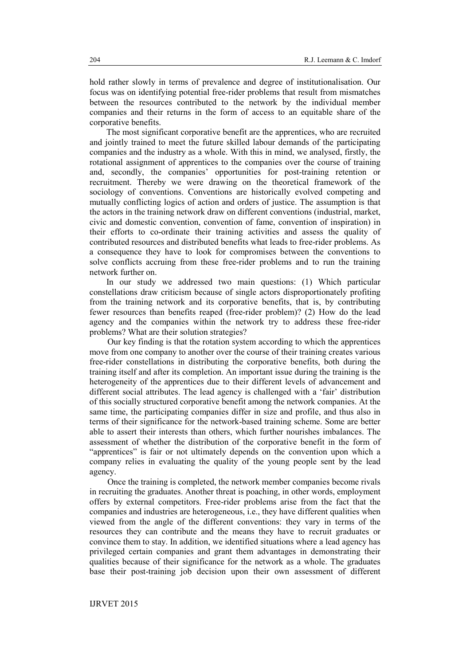hold rather slowly in terms of prevalence and degree of institutionalisation. Our focus was on identifying potential free-rider problems that result from mismatches between the resources contributed to the network by the individual member companies and their returns in the form of access to an equitable share of the corporative benefits.

The most significant corporative benefit are the apprentices, who are recruited and jointly trained to meet the future skilled labour demands of the participating companies and the industry as a whole. With this in mind, we analysed, firstly, the rotational assignment of apprentices to the companies over the course of training and, secondly, the companies' opportunities for post-training retention or recruitment. Thereby we were drawing on the theoretical framework of the sociology of conventions. Conventions are historically evolved competing and mutually conflicting logics of action and orders of justice. The assumption is that the actors in the training network draw on different conventions (industrial, market, civic and domestic convention, convention of fame, convention of inspiration) in their efforts to co-ordinate their training activities and assess the quality of contributed resources and distributed benefits what leads to free-rider problems. As a consequence they have to look for compromises between the conventions to solve conflicts accruing from these free-rider problems and to run the training network further on.

In our study we addressed two main questions: (1) Which particular constellations draw criticism because of single actors disproportionately profiting from the training network and its corporative benefits, that is, by contributing fewer resources than benefits reaped (free-rider problem)? (2) How do the lead agency and the companies within the network try to address these free-rider problems? What are their solution strategies?

Our key finding is that the rotation system according to which the apprentices move from one company to another over the course of their training creates various free-rider constellations in distributing the corporative benefits, both during the training itself and after its completion. An important issue during the training is the heterogeneity of the apprentices due to their different levels of advancement and different social attributes. The lead agency is challenged with a 'fair' distribution of this socially structured corporative benefit among the network companies. At the same time, the participating companies differ in size and profile, and thus also in terms of their significance for the network-based training scheme. Some are better able to assert their interests than others, which further nourishes imbalances. The assessment of whether the distribution of the corporative benefit in the form of "apprentices" is fair or not ultimately depends on the convention upon which a company relies in evaluating the quality of the young people sent by the lead agency.

Once the training is completed, the network member companies become rivals in recruiting the graduates. Another threat is poaching, in other words, employment offers by external competitors. Free-rider problems arise from the fact that the companies and industries are heterogeneous, i.e., they have different qualities when viewed from the angle of the different conventions: they vary in terms of the resources they can contribute and the means they have to recruit graduates or convince them to stay. In addition, we identified situations where a lead agency has privileged certain companies and grant them advantages in demonstrating their qualities because of their significance for the network as a whole. The graduates base their post-training job decision upon their own assessment of different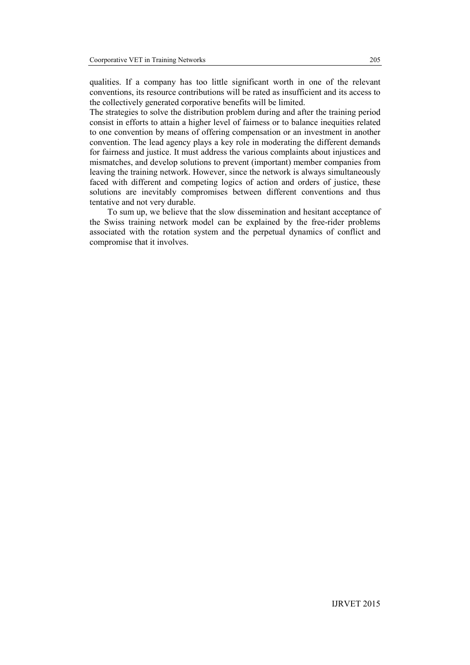qualities. If a company has too little significant worth in one of the relevant conventions, its resource contributions will be rated as insufficient and its access to the collectively generated corporative benefits will be limited.

The strategies to solve the distribution problem during and after the training period consist in efforts to attain a higher level of fairness or to balance inequities related to one convention by means of offering compensation or an investment in another convention. The lead agency plays a key role in moderating the different demands for fairness and justice. It must address the various complaints about injustices and mismatches, and develop solutions to prevent (important) member companies from leaving the training network. However, since the network is always simultaneously faced with different and competing logics of action and orders of justice, these solutions are inevitably compromises between different conventions and thus tentative and not very durable.

To sum up, we believe that the slow dissemination and hesitant acceptance of the Swiss training network model can be explained by the free-rider problems associated with the rotation system and the perpetual dynamics of conflict and compromise that it involves.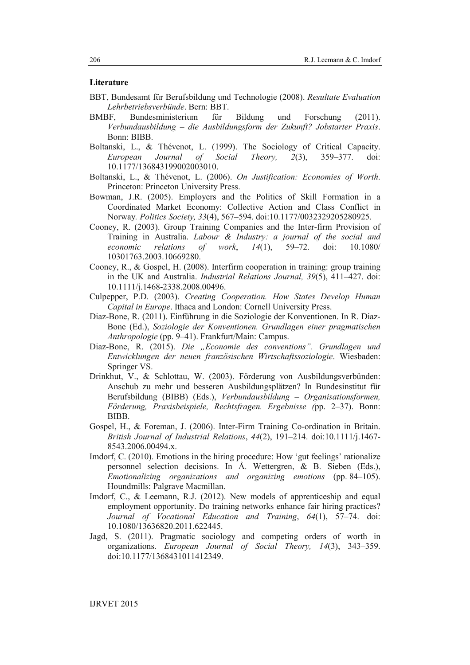# **Literature**

- BBT, Bundesamt für Berufsbildung und Technologie (2008). *Resultate Evaluation Lehrbetriebsverbünde*. Bern: BBT.
- BMBF, Bundesministerium für Bildung und Forschung (2011). *Verbundausbildung – die Ausbildungsform der Zukunft? Jobstarter Praxis*. Bonn: BIBB.
- Boltanski, L., & Thévenot, L. (1999). The Sociology of Critical Capacity. *European Journal of Social Theory, 2*(3), 359–377. doi: 10.1177/136843199002003010.
- Boltanski, L., & Thévenot, L. (2006). *On Justification: Economies of Worth*. Princeton: Princeton University Press.
- Bowman, J.R. (2005). Employers and the Politics of Skill Formation in a Coordinated Market Economy: Collective Action and Class Conflict in Norway*. Politics Society, 33*(4), 567–594. doi:10.1177/0032329205280925.
- Cooney, R. (2003). Group Training Companies and the Inter-firm Provision of Training in Australia. *Labour & Industry: a journal of the social and economic relations of work*, *14*(1), 59–72. doi: 10.1080/ 10301763.2003.10669280.
- Cooney, R., & Gospel, H. (2008). Interfirm cooperation in training: group training in the UK and Australia. *Industrial Relations Journal, 39*(5), 411–427. doi: 10.1111/j.1468-2338.2008.00496.
- Culpepper, P.D. (2003). *Creating Cooperation. How States Develop Human Capital in Europe*. Ithaca and London: Cornell University Press.
- Diaz-Bone, R. (2011). Einführung in die Soziologie der Konventionen. In R. Diaz-Bone (Ed.), *Soziologie der Konventionen. Grundlagen einer pragmatischen Anthropologie* (pp. 9–41). Frankfurt/Main: Campus.
- Diaz-Bone, R. (2015). *Die "Economie des conventions". Grundlagen und Entwicklungen der neuen französischen Wirtschaftssoziologie*. Wiesbaden: Springer VS.
- Drinkhut, V., & Schlottau, W. (2003). Förderung von Ausbildungsverbünden: Anschub zu mehr und besseren Ausbildungsplätzen? In Bundesinstitut für Berufsbildung (BIBB) (Eds.), *Verbundausbildung – Organisationsformen, Förderung, Praxisbeispiele, Rechtsfragen. Ergebnisse (*pp. 2–37). Bonn: BIBB.
- Gospel, H., & Foreman, J. (2006). Inter-Firm Training Co-ordination in Britain. *British Journal of Industrial Relations*, *44*(2), 191–214. doi:10.1111/j.1467- 8543.2006.00494.x.
- Imdorf, C. (2010). Emotions in the hiring procedure: How 'gut feelings' rationalize personnel selection decisions. In Å. Wettergren, & B. Sieben (Eds.), *Emotionalizing organizations and organizing emotions* (pp. 84–105). Houndmills: Palgrave Macmillan.
- Imdorf, C., & Leemann, R.J. (2012). New models of apprenticeship and equal employment opportunity. Do training networks enhance fair hiring practices? *Journal of Vocational Education and Training*, *64*(1), 57–74. doi: 10.1080/13636820.2011.622445.
- Jagd, S. (2011). Pragmatic sociology and competing orders of worth in organizations. *European Journal of Social Theory, 14*(3), 343–359. doi:10.1177/1368431011412349.

IJRVET 2015